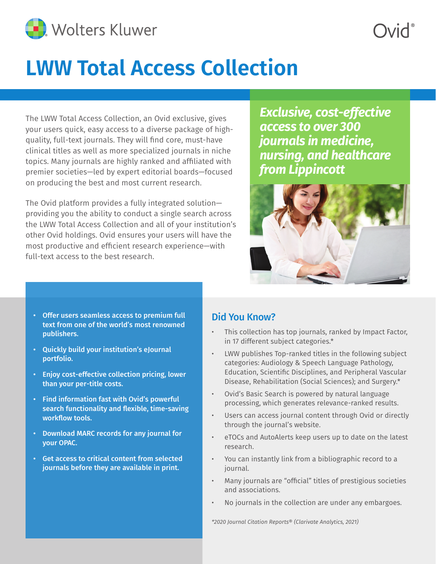

## **LWW Total Access Collection**

The LWW Total Access Collection, an Ovid exclusive, gives your users quick, easy access to a diverse package of highquality, full-text journals. They will find core, must-have clinical titles as well as more specialized journals in niche topics. Many journals are highly ranked and affiliated with premier societies—led by expert editorial boards—focused on producing the best and most current research.

The Ovid platform provides a fully integrated solution providing you the ability to conduct a single search across the LWW Total Access Collection and all of your institution's other Ovid holdings. Ovid ensures your users will have the most productive and efficient research experience—with full-text access to the best research.

*Exclusive, cost-effective access to over 300 journals in medicine, nursing, and healthcare from Lippincott*



- Offer users seamless access to premium full text from one of the world's most renowned publishers.
- Quickly build your institution's eJournal portfolio.
- Enjoy cost-effective collection pricing, lower than your per-title costs.
- Find information fast with Ovid's powerful search functionality and flexible, time-saving workflow tools.
- Download MARC records for any journal for your OPAC.
- Get access to critical content from selected journals before they are available in print.

#### Did You Know?

- This collection has top journals, ranked by Impact Factor, in 17 different subject categories.\*
- LWW publishes Top-ranked titles in the following subject categories: Audiology & Speech Language Pathology, Education, Scientific Disciplines, and Peripheral Vascular Disease, Rehabilitation (Social Sciences); and Surgery.\*
- Ovid's Basic Search is powered by natural language processing, which generates relevance-ranked results.
- Users can access journal content through Ovid or directly through the journal's website.
- eTOCs and AutoAlerts keep users up to date on the latest research.
- You can instantly link from a bibliographic record to a journal.
- Many journals are "official" titles of prestigious societies and associations.
- No journals in the collection are under any embargoes.

*\*2020 Journal Citation Reports® (Clarivate Analytics, 2021)*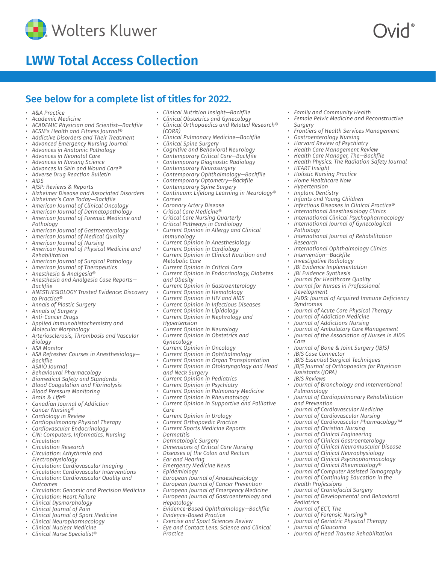

## **LWW Total Access Collection**

### See below for a complete list of titles for 2022.

- *• A&A Practice*
- *• Academic Medicine*
- *• ACADEMIC Physician and Scientist—Backfile*
- *• ACSM's Health and Fitness Journal®*
- *• Addictive Disorders and Their Treatment*
- *• Advanced Emergency Nursing Journal*
- *• Advances in Anatomic Pathology*
- *• Advances in Neonatal Care*
- *• Advances in Nursing Science*
- *• Advances in Skin and Wound Care®*
- *• Adverse Drug Reaction Bulletin • AIDS*
- 
- *• AJSP: Reviews & Reports*
- *• Alzheimer Disease and Associated Disorders*
- *• Alzheimer's Care Today—Backfile*
- *• American Journal of Clinical Oncology*
- *• American Journal of Dermatopathology*
- *• American Journal of Forensic Medicine and Pathology*
- *• American Journal of Gastroenterology*
- *• American Journal of Medical Quality*
- *• American Journal of Nursing*
- *• American Journal of Physical Medicine and Rehabilitation*
- *• American Journal of Surgical Pathology*
- *• American Journal of Therapeutics*
- *• Anesthesia & Analgesia®*
- *• Anesthesia and Analgesia Case Reports—*
- *Backfile • ANESTHESIOLOGY Trusted Evidence: Discovery*
- *to Practice®*
- *• Annals of Plastic Surgery*
- *• Annals of Surgery • Anti-Cancer Drugs*
- *• Applied Immunohistochemistry and Molecular Morphology*
- *• Arteriosclerosis, Thrombosis and Vascular Biology*
- *• ASA Monitor*
- *• ASA Refresher Courses in Anesthesiology— Backfile*
- *• ASAIO Journal*
- *• Behavioural Pharmacology*
- *• Biomedical Safety and Standards*
- *• Blood Coagulation and Fibrinolysis*
- *• Blood Pressure Monitoring*
- *• Brain & Life®*
- *• Canadian Journal of Addiction*
- *• Cancer Nursing®*
- *• Cardiology in Review*
- *• Cardiopulmonary Physical Therapy*
- *• Cardiovascular Endocrinology*
- *• CIN: Computers, Informatics, Nursing*
- *• Circulation*
- *• Circulation Research*
- *• Circulation: Arhythrmia and*
- *Electrophysiology*
- *• Circulation: Cardiovascular Imaging*
- *• Circulation: Cardiovascular Interventions*
- *• Circulation: Cardiovascular Quality and Outcomes*
- *• Circulation: Genomic and Precision Medicine*
- *• Circulation: Heart Failure*
- *• Clinical Dysmorphology*
- *• Clinical Journal of Pain*
- *• Clinical Journal of Sport Medicine*
- *• Clinical Neuropharmacology*
- *• Clinical Nuclear Medicine*
- *• Clinical Nurse Specialist®*
- *• Clinical Nutrition Insight—Backfile*
- *• Clinical Obstetrics and Gynecology*
- *• Clinical Orthopaedics and Related Research® (CORR)*

*• Family and Community Health*

*• Gastroenterology Nursing • Harvard Review of Psychiatry • Health Care Management Review • Health Care Manager, The—Backfile • Health Physics: The Radiation Safety Journal*

*• Holistic Nursing Practice • Home Healthcare Now • Hypertension • Implant Dentistry • Infants and Young Children*

*Surgery*

*• HEART Insight*

*Pathology*

*Research*

*Development*

*Syndromes*

*• JBJS Case Connector*

*Assistants (JOPA) • JBJS Reviews*

*Pulmonology*

*and Prevention*

*Health Professions*

*• Journal of Glaucoma*

*Pediatrics • Journal of ECT, The • Journal of Forensic Nursing® • Journal of Geriatric Physical Therapy*

*• Journal of Craniofacial Surgery*

*• Journal of Developmental and Behavioral* 

*• Journal of Head Trauma Rehabilitation*

*Care*

*• Intervention—Backfile • Investigative Radiology • JBI Evidence Implementation • JBI Evidence Synthesis • Journal for Healthcare Quality • Journal for Nurses in Professional* 

*• Female Pelvic Medicine and Reconstructive* 

*• Frontiers of Health Services Management*

*• Infectious Diseases in Clinical Practice® • International Anesthesiology Clinics • International Clinical Psychopharmacology • International Journal of Gynecological* 

*• International Journal of Rehabilitation* 

*• JAIDS: Journal of Acquired Immune Deficiency* 

*• Journal of Acute Care Physical Therapy • Journal of Addiction Medicine • Journal of Addictions Nursing*

*• Journal of Ambulatory Care Management • Journal of the Association of Nurses in AIDS* 

*• Journal of Bronchology and Interventional* 

*• Journal of Cardiopulmonary Rehabilitation* 

*• Journal of Cardiovascular Pharmacology™*

*• Journal of Bone & Joint Surgery (JBJS)*

*• JBJS Essential Surgical Techniques • JBJS Journal of Orthopaedics for Physician* 

*• Journal of Cardiovascular Medicine • Journal of Cardiovascular Nursing*

*• Journal of Christian Nursing • Journal of Clinical Engineering • Journal of Clinical Gastroenterology • Journal of Clinical Neuromuscular Disease • Journal of Clinical Neurophysiology • Journal of Clinical Psychopharmacology • Journal of Clinical Rheumatology® • Journal of Computer Assisted Tomography • Journal of Continuing Education in the* 

*• International Ophthalmology Clinics*

- *• Clinical Pulmonary Medicine—Backfile • Clinical Spine Surgery*
- 
- *• Cognitive and Behavioral Neurology*
- *• Contemporary Critical Care—Backfile*
- *• Contemporary Diagnostic Radiology*
- *• Contemporary Neurosurgery*
- *• Contemporary Ophthalmology—Backfile*
- *• Contemporary Optometry—Backfile*
- *• Contemporary Spine Surgery*
- *• Continuum: Lifelong Learning in Neurology® • Cornea*
- 
- *• Coronary Artery Disease*
- *• Critical Care Medicine®*
- *• Critical Care Nursing Quarterly*
- *• Critical Pathways in Cardiology*
- *• Current Opinion in Allergy and Clinical Immunology*
- *• Current Opinion in Anesthesiology*
- *• Current Opinion in Cardiology*
- *• Current Opinion in Clinical Nutrition and Metabolic Care*
- *• Current Opinion in Critical Care*
- *• Current Opinion in Endocrinology, Diabetes and Obesity*
- *• Current Opinion in Gastroenterology*
- *• Current Opinion in Hematology*
- *• Current Opinion in HIV and AIDS*
- *• Current Opinion in Infectious Diseases*
- *• Current Opinion in Lipidology*
- *• Current Opinion in Nephrology and*
- *Hypertension*
- *• Current Opinion in Neurology*

*and Neck Surgery*

*Care*

*• Dermatitis*

*• Ear and Hearing • Emergency Medicine News • Epidemiology*

*Hepatology*

*Practice*

- *• Current Opinion in Obstetrics and Gynecology*
- *• Current Opinion in Oncology*

*• Current Opinion in Pediatrics • Current Opinion in Psychiatry • Current Opinion in Pulmonary Medicine • Current Opinion in Rheumatology*

*• Current Opinion in Urology • Current Orthopaedic Practice • Current Sports Medicine Reports*

*• Dimensions of Critical Care Nursing • Diseases of the Colon and Rectum*

*• European Journal of Anaesthesiology • European Journal of Cancer Prevention • European Journal of Emergency Medicine • European Journal of Gastroenterology and* 

*• Exercise and Sport Sciences Review • Eye and Contact Lens: Science and Clinical* 

*• Evidence-Based Ophthalmology—Backfile*

*• Dermatologic Surgery* 

*• Evidence-Based Practice*

- *• Current Opinion in Ophthalmology*
- *• Current Opinion in Organ Transplantation*

*• Current Opinion in Otolaryngology and Head* 

*• Current Opinion in Supportive and Palliative*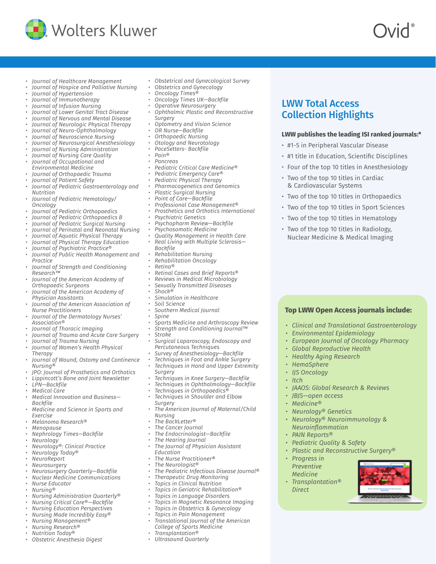

- *• Journal of Healthcare Management*
- *• Journal of Hospice and Palliative Nursing*
- *• Journal of Hypertension*
- *• Journal of Immunotherapy*
- *• Journal of Infusion Nursing*
- *• Journal of Lower Genital Tract Disease*
- *• Journal of Nervous and Mental Disease*
- *• Journal of Neurologic Physical Therapy*
- *• Journal of Neuro-Ophthalmology*
- *• Journal of Neuroscience Nursing*
- *• Journal of Neurosurgical Anesthesiology*
- *• Journal of Nursing Administration*
- *• Journal of Nursing Care Quality*
- *• Journal of Occupational and*
- *Environmental Medicine*
- *• Journal of Orthopaedic Trauma*
- *• Journal of Patient Safety*
- *• Journal of Pediatric Gastroenterology and Nutrition*
- *• Journal of Pediatric Hematology/ Oncology*
- *• Journal of Pediatric Orthopaedics*
- *• Journal of Pediatric Orthopaedics B*
- *• Journal of Pediatric Surgical Nursing*
- *• Journal of Perinatal and Neonatal Nursing*
- *• Journal of Aquatic Physical Therapy*
- *• Journal of Physical Therapy Education*
- *• Journal of Psychiatric Practice®*
- *• Journal of Public Health Management and Practice*
- *• Journal of Strength and Conditioning Research™*
- *• Journal of the American Academy of Orthopaedic Surgeons*
- *• Journal of the American Academy of*
- *Physician Assistants • Journal of the American Association of Nurse Practitioners*
- *• Journal of the Dermatology Nurses' Association®*
- *• Journal of Thoracic Imaging*
- *• Journal of Trauma and Acute Care Surgery*
- *• Journal of Trauma Nursing*
- *• Journal of Women's Health Physical*
- *Therapy • Journal of Wound, Ostomy and Continence Nursing®*
- *• JPO: Journal of Prosthetics and Orthotics*
- *• Lippincott's Bone and Joint Newsletter*
- *• LPN—Backfile*
- *• Medical Care*
- *• Medical Innovation and Business—*
- *Backfile • Medicine and Science in Sports and Exercise*
- *• Melanoma Research®*
- *• Menopause*
- *• Nephrology Times—Backfile*
- *• Neurology*
- *• Neurology®: Clinical Practice*
- *• Neurology Today®*
- *• NeuroReport*
- *• Neurosurgery*
- *• Neurosurgery Quarterly—Backfile*
- *• Nuclear Medicine Communications*
- *• Nurse Educator*
- *• Nursing®*
- *• Nursing Administration Quarterly®*
- *• Nursing Critical Care®—Backfile*
- *• Nursing Education Perspectives*
- *• Nursing Made Incredibly Easy®*
- *• Nursing Management®*
- *• Nursing Research®*
- *• Nutrition Today®*
- *• Obstetric Anesthesia Digest*
- *• Obstetrical and Gynecological Survey*
- *• Obstetrics and Gynecology*
- *• Oncology Times®*
- *• Oncology Times UK—Backfile*
- *• Operative Neurosurgery*
- *• Ophthalmic Plastic and Reconstructive Surgery*

LWW Total Access Collection Highlights

**LWW publishes the leading ISI ranked journals:\***

• #1 title in Education, Scientific Disciplines • Four of the top 10 titles in Anesthesiology

• Two of the top 10 titles in Orthopaedics • Two of the top 10 titles in Sport Sciences • Two of the top 10 titles in Hematology • Two of the top 10 titles in Radiology, Nuclear Medicine & Medical Imaging

*• Clinical and Translational Gastroenterology*

**Top LWW Open Access journals include:**

*• European Journal of Oncology Pharmacy*

*• Environmental Epidemiology*

*• Global Reproductive Health • Healthy Aging Research*

*• JAAOS: Global Research & Reviews*

*• Neurology® Neuroimmunology &* 

*• Plastic and Reconstructive Surgery®*

*• HemaSphere • IJS Oncology*

*• JBJS—open access • Medicine®*

*• Progress in Preventive Medicine • Transplantation®* 

*Direct*

*• Neurology® Genetics*

*Neuroinflammation • PAIN Reports®*

*• Pediatric Quality & Safety*

*• Itch*

• #1-5 in Peripheral Vascular Disease

• Two of the top 10 titles in Cardiac & Cardiovascular Systems

- *• Optometry and Vision Science*
- *• OR Nurse—Backfile*
- *• Orthopaedic Nursing*
- *• Otology and Neurotology*
- *• PaceSetters- Backfile*
- *• Pain®*
- *• Pancreas*
- *• Pediatric Critical Care Medicine®*
- *• Pediatric Emergency Care®*
- *• Pediatric Physical Therapy*
- *• Pharmacogenetics and Genomics*
- *• Plastic Surgical Nursing*
- *• Point of Care—Backfile*
- *• Professional Case Management®*
- *• Prosthetics and Orthotics International*
- *• Psychiatric Genetics*
- *• Psychopharm Review—Backfile*
- *• Psychosomatic Medicine*
- *• Quality Management in Health Care • Real Living with Multiple Sclerosis—*
- *Backfile*
- *• Rehabilitation Nursing*
- *• Rehabilitation Oncology*
- *• Retina®*

*• Spine*

*• Stroke*

*Surgery*

*Surgery*

*Nursing • The BackLetter® • The Cancer Journal*

*Education*

- *• Retinal Cases and Brief Reports®*
- *• Reviews in Medical Microbiology*

*• Sports Medicine and Arthroscopy Review • Strength and Conditioning Journal™*

*• Surgical Laparoscopy, Endoscopy and* 

*• Techniques in Knee Surgery—Backfile • Techniques in Ophthalmology—Backfile*

*• The American Journal of Maternal/Child* 

*• The Pediatric Infectious Disease Journal®*

- *• Sexually Transmitted Diseases*
- *• Shock®*
- *• Simulation in Healthcare*
- *• Soil Science*
- *• Southern Medical Journal*

*Percutaneous Techniques • Survey of Anesthesiology—Backfile • Techniques in Foot and Ankle Surgery • Techniques in Hand and Upper Extremity* 

*• Techniques in Orthopaedics® • Techniques in Shoulder and Elbow* 

*• The Endocrinologist—Backfile*

*• Therapeutic Drug Monitoring • Topics in Clinical Nutrition • Topics in Geriatric Rehabilitation® • Topics in Language Disorders • Topics in Magnetic Resonance Imaging • Topics in Obstetrics & Gynecology • Topics in Pain Management • Translational Journal of the American* 

*College of Sports Medicine • Transplantation® • Ultrasound Quarterly*

*• The Journal of Physician Assistant* 

*• The Hearing Journal*

*• The Nurse Practitioner® • The Neurologist®*